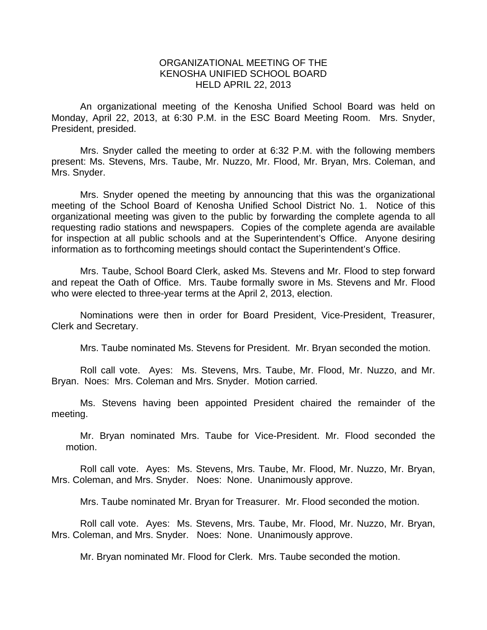## ORGANIZATIONAL MEETING OF THE KENOSHA UNIFIED SCHOOL BOARD HELD APRIL 22, 2013

 An organizational meeting of the Kenosha Unified School Board was held on Monday, April 22, 2013, at 6:30 P.M. in the ESC Board Meeting Room. Mrs. Snyder, President, presided.

 Mrs. Snyder called the meeting to order at 6:32 P.M. with the following members present: Ms. Stevens, Mrs. Taube, Mr. Nuzzo, Mr. Flood, Mr. Bryan, Mrs. Coleman, and Mrs. Snyder.

 Mrs. Snyder opened the meeting by announcing that this was the organizational meeting of the School Board of Kenosha Unified School District No. 1. Notice of this organizational meeting was given to the public by forwarding the complete agenda to all requesting radio stations and newspapers. Copies of the complete agenda are available for inspection at all public schools and at the Superintendent's Office. Anyone desiring information as to forthcoming meetings should contact the Superintendent's Office.

Mrs. Taube, School Board Clerk, asked Ms. Stevens and Mr. Flood to step forward and repeat the Oath of Office. Mrs. Taube formally swore in Ms. Stevens and Mr. Flood who were elected to three-year terms at the April 2, 2013, election.

Nominations were then in order for Board President, Vice-President, Treasurer, Clerk and Secretary.

Mrs. Taube nominated Ms. Stevens for President. Mr. Bryan seconded the motion.

 Roll call vote. Ayes: Ms. Stevens, Mrs. Taube, Mr. Flood, Mr. Nuzzo, and Mr. Bryan. Noes: Mrs. Coleman and Mrs. Snyder. Motion carried.

 Ms. Stevens having been appointed President chaired the remainder of the meeting.

Mr. Bryan nominated Mrs. Taube for Vice-President. Mr. Flood seconded the motion.

Roll call vote. Ayes: Ms. Stevens, Mrs. Taube, Mr. Flood, Mr. Nuzzo, Mr. Bryan, Mrs. Coleman, and Mrs. Snyder. Noes: None. Unanimously approve.

Mrs. Taube nominated Mr. Bryan for Treasurer. Mr. Flood seconded the motion.

Roll call vote. Ayes: Ms. Stevens, Mrs. Taube, Mr. Flood, Mr. Nuzzo, Mr. Bryan, Mrs. Coleman, and Mrs. Snyder. Noes: None. Unanimously approve.

Mr. Bryan nominated Mr. Flood for Clerk. Mrs. Taube seconded the motion.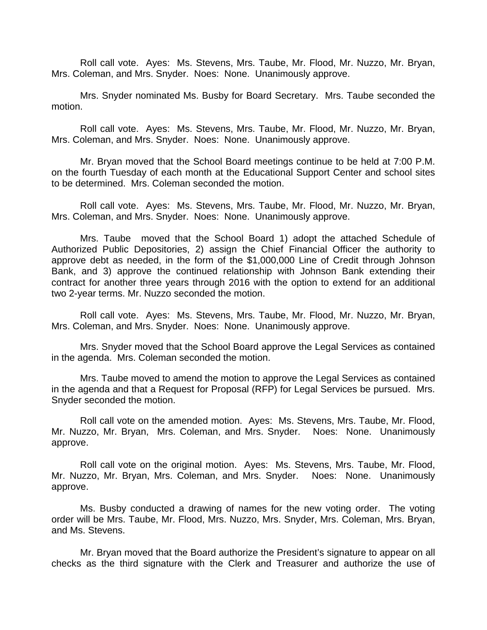Roll call vote. Ayes: Ms. Stevens, Mrs. Taube, Mr. Flood, Mr. Nuzzo, Mr. Bryan, Mrs. Coleman, and Mrs. Snyder. Noes: None. Unanimously approve.

 Mrs. Snyder nominated Ms. Busby for Board Secretary. Mrs. Taube seconded the motion.

Roll call vote. Ayes: Ms. Stevens, Mrs. Taube, Mr. Flood, Mr. Nuzzo, Mr. Bryan, Mrs. Coleman, and Mrs. Snyder. Noes: None. Unanimously approve.

Mr. Bryan moved that the School Board meetings continue to be held at 7:00 P.M. on the fourth Tuesday of each month at the Educational Support Center and school sites to be determined. Mrs. Coleman seconded the motion.

Roll call vote. Ayes: Ms. Stevens, Mrs. Taube, Mr. Flood, Mr. Nuzzo, Mr. Bryan, Mrs. Coleman, and Mrs. Snyder. Noes: None. Unanimously approve.

Mrs. Taube moved that the School Board 1) adopt the attached Schedule of Authorized Public Depositories, 2) assign the Chief Financial Officer the authority to approve debt as needed, in the form of the \$1,000,000 Line of Credit through Johnson Bank, and 3) approve the continued relationship with Johnson Bank extending their contract for another three years through 2016 with the option to extend for an additional two 2-year terms. Mr. Nuzzo seconded the motion.

Roll call vote. Ayes: Ms. Stevens, Mrs. Taube, Mr. Flood, Mr. Nuzzo, Mr. Bryan, Mrs. Coleman, and Mrs. Snyder. Noes: None. Unanimously approve.

 Mrs. Snyder moved that the School Board approve the Legal Services as contained in the agenda. Mrs. Coleman seconded the motion.

 Mrs. Taube moved to amend the motion to approve the Legal Services as contained in the agenda and that a Request for Proposal (RFP) for Legal Services be pursued. Mrs. Snyder seconded the motion.

Roll call vote on the amended motion. Ayes: Ms. Stevens, Mrs. Taube, Mr. Flood, Mr. Nuzzo, Mr. Bryan, Mrs. Coleman, and Mrs. Snyder. Noes: None. Unanimously approve.

Roll call vote on the original motion. Ayes: Ms. Stevens, Mrs. Taube, Mr. Flood, Mr. Nuzzo, Mr. Bryan, Mrs. Coleman, and Mrs. Snyder. Noes: None. Unanimously approve.

 Ms. Busby conducted a drawing of names for the new voting order. The voting order will be Mrs. Taube, Mr. Flood, Mrs. Nuzzo, Mrs. Snyder, Mrs. Coleman, Mrs. Bryan, and Ms. Stevens.

Mr. Bryan moved that the Board authorize the President's signature to appear on all checks as the third signature with the Clerk and Treasurer and authorize the use of